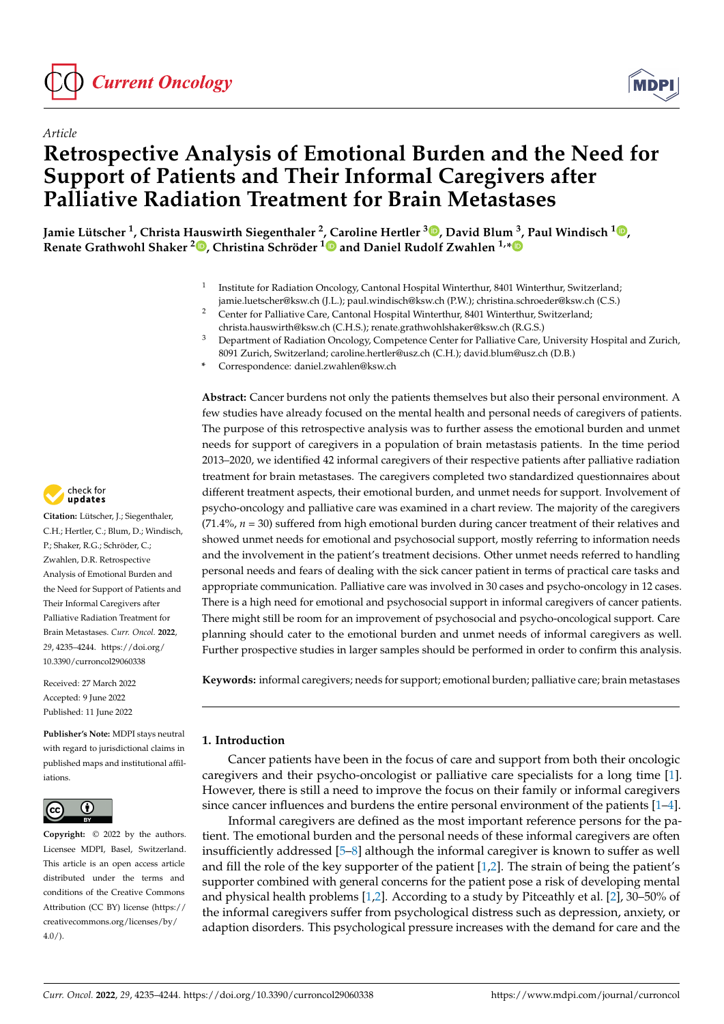



# **Retrospective Analysis of Emotional Burden and the Need for Support of Patients and Their Informal Caregivers after Palliative Radiation Treatment for Brain Metastases**

**Jamie Lütscher <sup>1</sup> , Christa Hauswirth Siegenthaler <sup>2</sup> , Caroline Hertler <sup>3</sup> [,](https://orcid.org/0000-0001-6181-2895) David Blum <sup>3</sup> , Paul Windisch <sup>1</sup> [,](https://orcid.org/0000-0003-1040-4888) Renate Grathwohl Shaker <sup>2</sup> [,](https://orcid.org/0000-0002-8471-8364) Christina Schröder [1](https://orcid.org/0000-0002-4168-2795) and Daniel Rudolf Zwahlen 1,[\\*](https://orcid.org/0000-0003-4359-7735)**

- 1 Institute for Radiation Oncology, Cantonal Hospital Winterthur, 8401 Winterthur, Switzerland;
- jamie.luetscher@ksw.ch (J.L.); paul.windisch@ksw.ch (P.W.); christina.schroeder@ksw.ch (C.S.) <sup>2</sup> Center for Palliative Care, Cantonal Hospital Winterthur, 8401 Winterthur, Switzerland;
- christa.hauswirth@ksw.ch (C.H.S.); renate.grathwohlshaker@ksw.ch (R.G.S.) <sup>3</sup> Department of Radiation Oncology, Competence Center for Palliative Care, University Hospital and Zurich,
	- 8091 Zurich, Switzerland; caroline.hertler@usz.ch (C.H.); david.blum@usz.ch (D.B.)
- **\*** Correspondence: daniel.zwahlen@ksw.ch

**Abstract:** Cancer burdens not only the patients themselves but also their personal environment. A few studies have already focused on the mental health and personal needs of caregivers of patients. The purpose of this retrospective analysis was to further assess the emotional burden and unmet needs for support of caregivers in a population of brain metastasis patients. In the time period 2013–2020, we identified 42 informal caregivers of their respective patients after palliative radiation treatment for brain metastases. The caregivers completed two standardized questionnaires about different treatment aspects, their emotional burden, and unmet needs for support. Involvement of psycho-oncology and palliative care was examined in a chart review. The majority of the caregivers  $(71.4\%, n = 30)$  suffered from high emotional burden during cancer treatment of their relatives and showed unmet needs for emotional and psychosocial support, mostly referring to information needs and the involvement in the patient's treatment decisions. Other unmet needs referred to handling personal needs and fears of dealing with the sick cancer patient in terms of practical care tasks and appropriate communication. Palliative care was involved in 30 cases and psycho-oncology in 12 cases. There is a high need for emotional and psychosocial support in informal caregivers of cancer patients. There might still be room for an improvement of psychosocial and psycho-oncological support. Care planning should cater to the emotional burden and unmet needs of informal caregivers as well. Further prospective studies in larger samples should be performed in order to confirm this analysis.

**Keywords:** informal caregivers; needs for support; emotional burden; palliative care; brain metastases

# **1. Introduction**

Cancer patients have been in the focus of care and support from both their oncologic caregivers and their psycho-oncologist or palliative care specialists for a long time [\[1\]](#page-8-0). However, there is still a need to improve the focus on their family or informal caregivers since cancer influences and burdens the entire personal environment of the patients [\[1](#page-8-0)[–4\]](#page-9-0).

Informal caregivers are defined as the most important reference persons for the patient. The emotional burden and the personal needs of these informal caregivers are often insufficiently addressed [\[5](#page-9-1)[–8\]](#page-9-2) although the informal caregiver is known to suffer as well and fill the role of the key supporter of the patient [\[1](#page-8-0)[,2\]](#page-8-1). The strain of being the patient's supporter combined with general concerns for the patient pose a risk of developing mental and physical health problems [\[1](#page-8-0)[,2\]](#page-8-1). According to a study by Pitceathly et al. [\[2\]](#page-8-1), 30–50% of the informal caregivers suffer from psychological distress such as depression, anxiety, or adaption disorders. This psychological pressure increases with the demand for care and the



**Citation:** Lütscher, J.; Siegenthaler, C.H.; Hertler, C.; Blum, D.; Windisch, P.; Shaker, R.G.; Schröder, C.; Zwahlen, D.R. Retrospective Analysis of Emotional Burden and the Need for Support of Patients and Their Informal Caregivers after Palliative Radiation Treatment for Brain Metastases. *Curr. Oncol.* **2022**, *29*, 4235–4244. [https://doi.org/](https://doi.org/10.3390/curroncol29060338) [10.3390/curroncol29060338](https://doi.org/10.3390/curroncol29060338)

Received: 27 March 2022 Accepted: 9 June 2022 Published: 11 June 2022

**Publisher's Note:** MDPI stays neutral with regard to jurisdictional claims in published maps and institutional affiliations.



**Copyright:** © 2022 by the authors. Licensee MDPI, Basel, Switzerland. This article is an open access article distributed under the terms and conditions of the Creative Commons Attribution (CC BY) license [\(https://](https://creativecommons.org/licenses/by/4.0/) [creativecommons.org/licenses/by/](https://creativecommons.org/licenses/by/4.0/)  $4.0/$ ).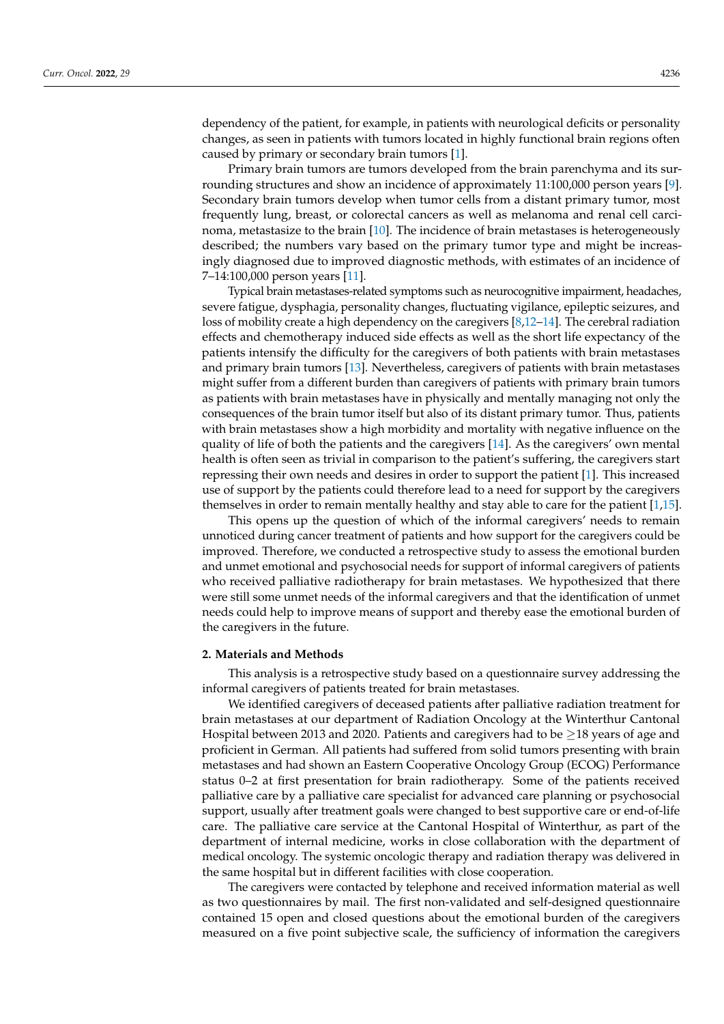dependency of the patient, for example, in patients with neurological deficits or personality changes, as seen in patients with tumors located in highly functional brain regions often caused by primary or secondary brain tumors [\[1\]](#page-8-0).

Primary brain tumors are tumors developed from the brain parenchyma and its surrounding structures and show an incidence of approximately 11:100,000 person years [\[9\]](#page-9-3). Secondary brain tumors develop when tumor cells from a distant primary tumor, most frequently lung, breast, or colorectal cancers as well as melanoma and renal cell carcinoma, metastasize to the brain [\[10\]](#page-9-4). The incidence of brain metastases is heterogeneously described; the numbers vary based on the primary tumor type and might be increasingly diagnosed due to improved diagnostic methods, with estimates of an incidence of 7–14:100,000 person years [\[11\]](#page-9-5).

Typical brain metastases-related symptoms such as neurocognitive impairment, headaches, severe fatigue, dysphagia, personality changes, fluctuating vigilance, epileptic seizures, and loss of mobility create a high dependency on the caregivers [\[8](#page-9-2)[,12](#page-9-6)[–14\]](#page-9-7). The cerebral radiation effects and chemotherapy induced side effects as well as the short life expectancy of the patients intensify the difficulty for the caregivers of both patients with brain metastases and primary brain tumors [\[13\]](#page-9-8). Nevertheless, caregivers of patients with brain metastases might suffer from a different burden than caregivers of patients with primary brain tumors as patients with brain metastases have in physically and mentally managing not only the consequences of the brain tumor itself but also of its distant primary tumor. Thus, patients with brain metastases show a high morbidity and mortality with negative influence on the quality of life of both the patients and the caregivers [\[14\]](#page-9-7). As the caregivers' own mental health is often seen as trivial in comparison to the patient's suffering, the caregivers start repressing their own needs and desires in order to support the patient [\[1\]](#page-8-0). This increased use of support by the patients could therefore lead to a need for support by the caregivers themselves in order to remain mentally healthy and stay able to care for the patient [\[1,](#page-8-0)[15\]](#page-9-9).

This opens up the question of which of the informal caregivers' needs to remain unnoticed during cancer treatment of patients and how support for the caregivers could be improved. Therefore, we conducted a retrospective study to assess the emotional burden and unmet emotional and psychosocial needs for support of informal caregivers of patients who received palliative radiotherapy for brain metastases. We hypothesized that there were still some unmet needs of the informal caregivers and that the identification of unmet needs could help to improve means of support and thereby ease the emotional burden of the caregivers in the future.

#### **2. Materials and Methods**

This analysis is a retrospective study based on a questionnaire survey addressing the informal caregivers of patients treated for brain metastases.

We identified caregivers of deceased patients after palliative radiation treatment for brain metastases at our department of Radiation Oncology at the Winterthur Cantonal Hospital between 2013 and 2020. Patients and caregivers had to be  $\geq$ 18 years of age and proficient in German. All patients had suffered from solid tumors presenting with brain metastases and had shown an Eastern Cooperative Oncology Group (ECOG) Performance status 0–2 at first presentation for brain radiotherapy. Some of the patients received palliative care by a palliative care specialist for advanced care planning or psychosocial support, usually after treatment goals were changed to best supportive care or end-of-life care. The palliative care service at the Cantonal Hospital of Winterthur, as part of the department of internal medicine, works in close collaboration with the department of medical oncology. The systemic oncologic therapy and radiation therapy was delivered in the same hospital but in different facilities with close cooperation.

The caregivers were contacted by telephone and received information material as well as two questionnaires by mail. The first non-validated and self-designed questionnaire contained 15 open and closed questions about the emotional burden of the caregivers measured on a five point subjective scale, the sufficiency of information the caregivers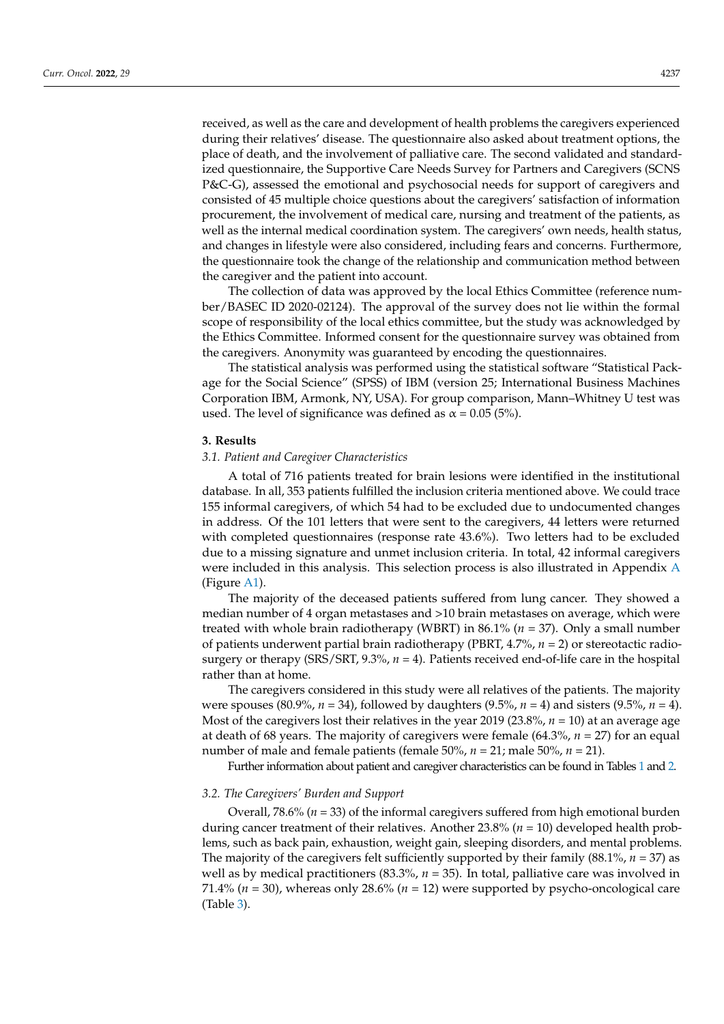received, as well as the care and development of health problems the caregivers experienced during their relatives' disease. The questionnaire also asked about treatment options, the place of death, and the involvement of palliative care. The second validated and standardized questionnaire, the Supportive Care Needs Survey for Partners and Caregivers (SCNS P&C-G), assessed the emotional and psychosocial needs for support of caregivers and consisted of 45 multiple choice questions about the caregivers' satisfaction of information procurement, the involvement of medical care, nursing and treatment of the patients, as well as the internal medical coordination system. The caregivers' own needs, health status, and changes in lifestyle were also considered, including fears and concerns. Furthermore, the questionnaire took the change of the relationship and communication method between the caregiver and the patient into account.

The collection of data was approved by the local Ethics Committee (reference number/BASEC ID 2020-02124). The approval of the survey does not lie within the formal scope of responsibility of the local ethics committee, but the study was acknowledged by the Ethics Committee. Informed consent for the questionnaire survey was obtained from the caregivers. Anonymity was guaranteed by encoding the questionnaires.

The statistical analysis was performed using the statistical software "Statistical Package for the Social Science" (SPSS) of IBM (version 25; International Business Machines Corporation IBM, Armonk, NY, USA). For group comparison, Mann–Whitney U test was used. The level of significance was defined as  $\alpha$  = 0.05 (5%).

#### **3. Results**

# *3.1. Patient and Caregiver Characteristics*

A total of 716 patients treated for brain lesions were identified in the institutional database. In all, 353 patients fulfilled the inclusion criteria mentioned above. We could trace 155 informal caregivers, of which 54 had to be excluded due to undocumented changes in address. Of the 101 letters that were sent to the caregivers, 44 letters were returned with completed questionnaires (response rate 43.6%). Two letters had to be excluded due to a missing signature and unmet inclusion criteria. In total, 42 informal caregivers were included in this analysis. This selection process is also illustrated in Appendix [A](#page-8-2) (Figure [A1\)](#page-8-3).

The majority of the deceased patients suffered from lung cancer. They showed a median number of 4 organ metastases and >10 brain metastases on average, which were treated with whole brain radiotherapy (WBRT) in 86.1% (*n* = 37). Only a small number of patients underwent partial brain radiotherapy (PBRT, 4.7%, *n* = 2) or stereotactic radiosurgery or therapy (SRS/SRT, 9.3%, *n* = 4). Patients received end-of-life care in the hospital rather than at home.

The caregivers considered in this study were all relatives of the patients. The majority were spouses (80.9%, *n* = 34), followed by daughters (9.5%, *n* = 4) and sisters (9.5%, *n* = 4). Most of the caregivers lost their relatives in the year 2019 (23.8%, *n* = 10) at an average age at death of 68 years. The majority of caregivers were female (64.3%, *n* = 27) for an equal number of male and female patients (female 50%, *n* = 21; male 50%, *n* = 21).

Further information about patient and caregiver characteristics can be found in Tables [1](#page-3-0) and [2.](#page-3-1)

# *3.2. The Caregivers' Burden and Support*

Overall, 78.6% (*n* = 33) of the informal caregivers suffered from high emotional burden during cancer treatment of their relatives. Another 23.8% (*n* = 10) developed health problems, such as back pain, exhaustion, weight gain, sleeping disorders, and mental problems. The majority of the caregivers felt sufficiently supported by their family (88.1%, *n* = 37) as well as by medical practitioners (83.3%,  $n = 35$ ). In total, palliative care was involved in 71.4% ( $n = 30$ ), whereas only 28.6% ( $n = 12$ ) were supported by psycho-oncological care (Table [3\)](#page-4-0).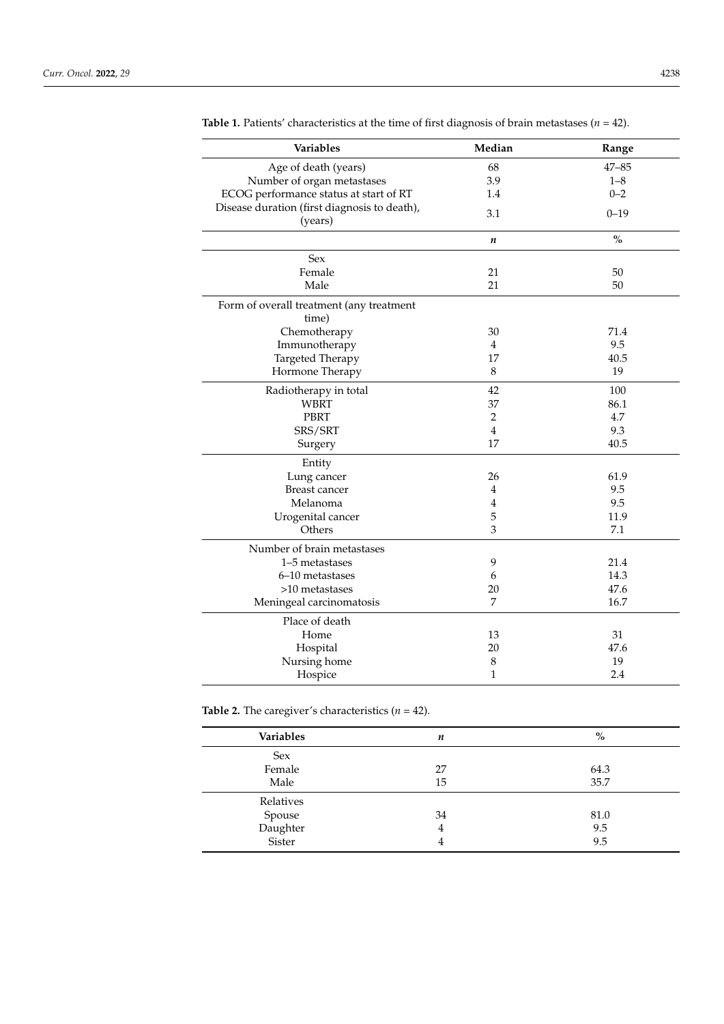| Variables                                               | Median           | Range                              |
|---------------------------------------------------------|------------------|------------------------------------|
| Age of death (years)                                    | 68               | $47 - 85$                          |
| Number of organ metastases                              | 3.9              | $1 - 8$                            |
| ECOG performance status at start of RT                  | 1.4              | $0 - 2$                            |
| Disease duration (first diagnosis to death),<br>(years) | 3.1              | $0 - 19$                           |
|                                                         | $\boldsymbol{n}$ | $\mathbf{0}_{\mathbf{0}}^{\prime}$ |
| Sex                                                     |                  |                                    |
| Female                                                  | 21               | 50                                 |
| Male                                                    | 21               | 50                                 |
| Form of overall treatment (any treatment<br>time)       |                  |                                    |
| Chemotherapy                                            | 30               | 71.4                               |
| Immunotherapy                                           | $\overline{4}$   | 9.5                                |
| Targeted Therapy                                        | 17               | 40.5                               |
| Hormone Therapy                                         | $\,8\,$          | 19                                 |
| Radiotherapy in total                                   | 42               | 100                                |
| <b>WBRT</b>                                             | 37               | 86.1                               |
| PBRT                                                    | $\overline{2}$   | 4.7                                |
| SRS/SRT                                                 | $\overline{4}$   | 9.3                                |
| Surgery                                                 | 17               | 40.5                               |
| Entity                                                  |                  |                                    |
| Lung cancer                                             | 26               | 61.9                               |
| <b>Breast cancer</b>                                    | 4                | 9.5                                |
| Melanoma                                                | $\overline{4}$   | 9.5                                |
| Urogenital cancer                                       | 5                | 11.9                               |
| Others                                                  | 3                | 7.1                                |
| Number of brain metastases                              |                  |                                    |
| 1-5 metastases                                          | 9                | 21.4                               |
| 6-10 metastases                                         | 6                | 14.3                               |
| $>10$ metastases                                        | 20               | 47.6                               |
| Meningeal carcinomatosis                                | 7                | 16.7                               |
| Place of death                                          |                  |                                    |
| Home                                                    | 13               | 31                                 |
| Hospital                                                | 20               | 47.6                               |
| Nursing home                                            | 8                | 19                                 |
| Hospice                                                 | $\mathbf 1$      | 2.4                                |

<span id="page-3-0"></span>**Table 1.** Patients' characteristics at the time of first diagnosis of brain metastases (*n* = 42).

<span id="page-3-1"></span>**Table 2.** The caregiver's characteristics  $(n = 42)$ .

| <b>Variables</b>             | n  | $\%$ |
|------------------------------|----|------|
| Sex                          |    |      |
| Female                       | 27 | 64.3 |
| Male                         | 15 | 35.7 |
| Relatives                    |    |      |
|                              | 34 | 81.0 |
| Spouse<br>Daughter<br>Sister | 4  | 9.5  |
|                              | 4  | 9.5  |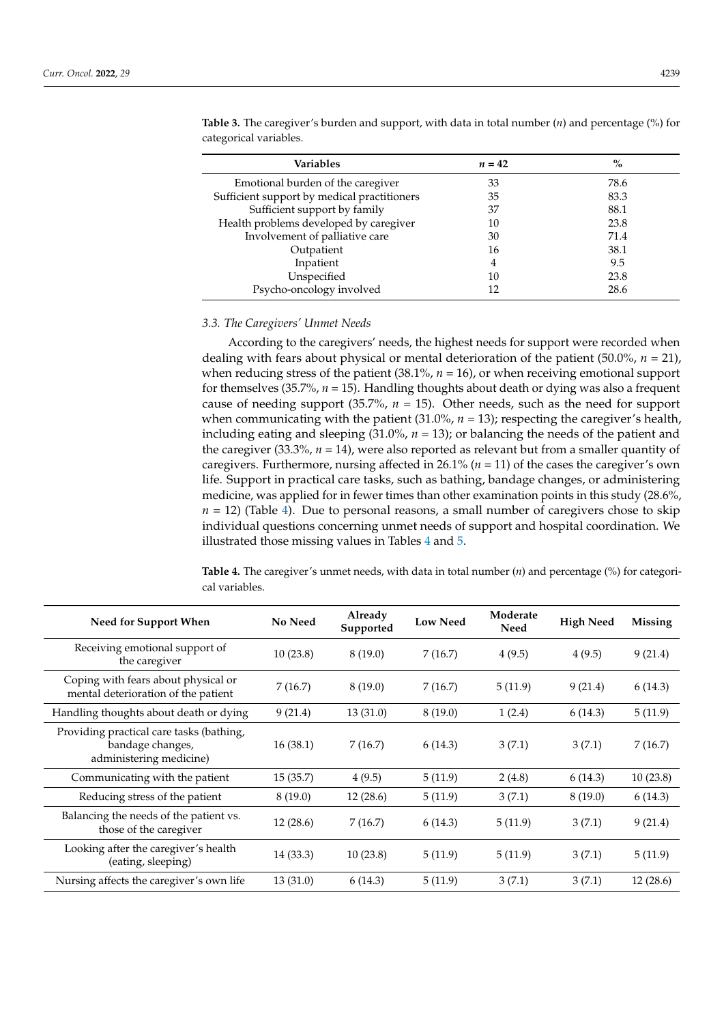| Variables                                   | $n=42$ | $\%$ |
|---------------------------------------------|--------|------|
| Emotional burden of the caregiver           | 33     | 78.6 |
| Sufficient support by medical practitioners | 35     | 83.3 |
| Sufficient support by family                | 37     | 88.1 |
| Health problems developed by caregiver      | 10     | 23.8 |
| Involvement of palliative care              | 30     | 71.4 |
| Outpatient                                  | 16     | 38.1 |
| Inpatient                                   | 4      | 9.5  |
| Unspecified                                 | 10     | 23.8 |
| Psycho-oncology involved                    |        | 28.6 |

<span id="page-4-0"></span>**Table 3.** The caregiver's burden and support, with data in total number (*n*) and percentage (%) for categorical variables.

#### *3.3. The Caregivers' Unmet Needs*

According to the caregivers' needs, the highest needs for support were recorded when dealing with fears about physical or mental deterioration of the patient (50.0%, *n* = 21), when reducing stress of the patient (38.1%, *n* = 16), or when receiving emotional support for themselves (35.7%, *n* = 15). Handling thoughts about death or dying was also a frequent cause of needing support  $(35.7\%, n = 15)$ . Other needs, such as the need for support when communicating with the patient  $(31.0\%$ ,  $n = 13)$ ; respecting the caregiver's health, including eating and sleeping (31.0%, *n* = 13); or balancing the needs of the patient and the caregiver (33.3%,  $n = 14$ ), were also reported as relevant but from a smaller quantity of caregivers. Furthermore, nursing affected in 26.1% (*n* = 11) of the cases the caregiver's own life. Support in practical care tasks, such as bathing, bandage changes, or administering medicine, was applied for in fewer times than other examination points in this study (28.6%,  $n = 12$ ) (Table [4\)](#page-4-1). Due to personal reasons, a small number of caregivers chose to skip individual questions concerning unmet needs of support and hospital coordination. We illustrated those missing values in Tables [4](#page-4-1) and [5.](#page-5-0)

<span id="page-4-1"></span>**Table 4.** The caregiver's unmet needs, with data in total number (*n*) and percentage (%) for categorical variables.

| Need for Support When                                                                   | <b>No Need</b> | Already<br>Supported | <b>Low Need</b> | Moderate<br>Need | <b>High Need</b> | <b>Missing</b> |
|-----------------------------------------------------------------------------------------|----------------|----------------------|-----------------|------------------|------------------|----------------|
| Receiving emotional support of<br>the caregiver                                         | 10(23.8)       | 8(19.0)              | 7(16.7)         | 4(9.5)           | 4(9.5)           | 9(21.4)        |
| Coping with fears about physical or<br>mental deterioration of the patient              | 7(16.7)        | 8(19.0)              | 7(16.7)         | 5(11.9)          | 9(21.4)          | 6(14.3)        |
| Handling thoughts about death or dying                                                  | 9(21.4)        | 13(31.0)             | 8(19.0)         | 1(2.4)           | 6(14.3)          | 5(11.9)        |
| Providing practical care tasks (bathing,<br>bandage changes,<br>administering medicine) | 16(38.1)       | 7(16.7)              | 6(14.3)         | 3(7.1)           | 3(7.1)           | 7(16.7)        |
| Communicating with the patient                                                          | 15(35.7)       | 4(9.5)               | 5(11.9)         | 2(4.8)           | 6(14.3)          | 10(23.8)       |
| Reducing stress of the patient                                                          | 8(19.0)        | 12(28.6)             | 5(11.9)         | 3(7.1)           | 8(19.0)          | 6(14.3)        |
| Balancing the needs of the patient vs.<br>those of the caregiver                        | 12(28.6)       | 7(16.7)              | 6(14.3)         | 5(11.9)          | 3(7.1)           | 9(21.4)        |
| Looking after the caregiver's health<br>(eating, sleeping)                              | 14 (33.3)      | 10(23.8)             | 5(11.9)         | 5(11.9)          | 3(7.1)           | 5(11.9)        |
| Nursing affects the caregiver's own life                                                | 13(31.0)       | 6(14.3)              | 5(11.9)         | 3(7.1)           | 3(7.1)           | 12(28.6)       |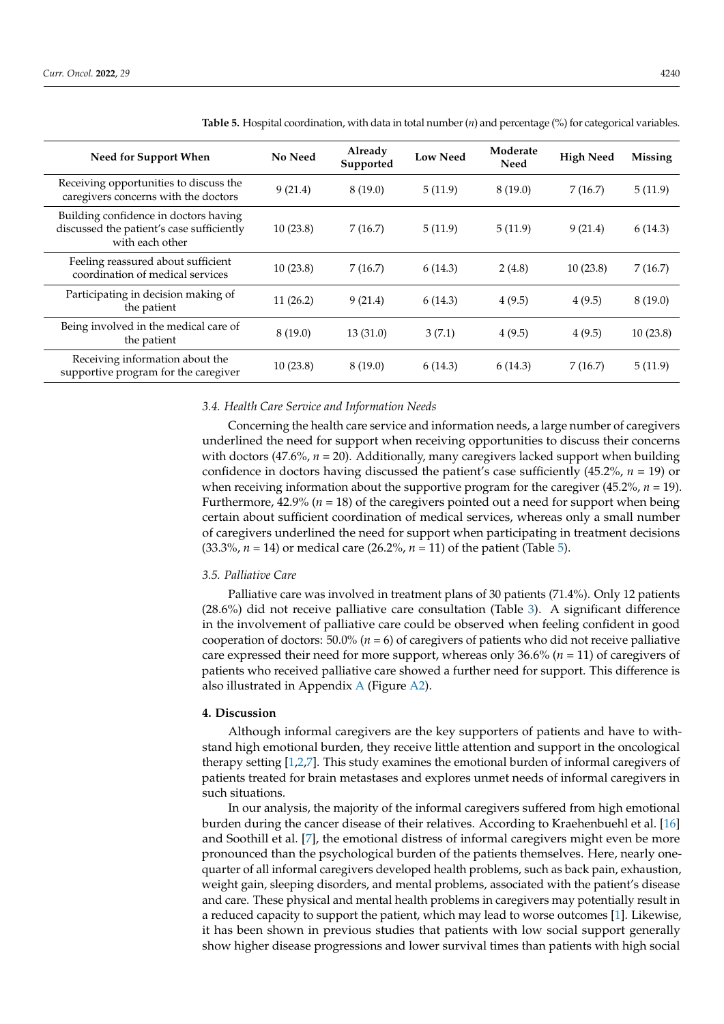| Need for Support When                                                                                 | No Need  | Already<br>Supported | <b>Low Need</b> | Moderate<br>Need | <b>High Need</b> | Missing  |
|-------------------------------------------------------------------------------------------------------|----------|----------------------|-----------------|------------------|------------------|----------|
| Receiving opportunities to discuss the<br>caregivers concerns with the doctors                        | 9(21.4)  | 8(19.0)              | 5(11.9)         | 8(19.0)          | 7(16.7)          | 5(11.9)  |
| Building confidence in doctors having<br>discussed the patient's case sufficiently<br>with each other | 10(23.8) | 7(16.7)              | 5(11.9)         | 5(11.9)          | 9(21.4)          | 6(14.3)  |
| Feeling reassured about sufficient<br>coordination of medical services                                | 10(23.8) | 7(16.7)              | 6(14.3)         | 2(4.8)           | 10(23.8)         | 7(16.7)  |
| Participating in decision making of<br>the patient                                                    | 11(26.2) | 9(21.4)              | 6(14.3)         | 4(9.5)           | 4(9.5)           | 8(19.0)  |
| Being involved in the medical care of<br>the patient                                                  | 8(19.0)  | 13(31.0)             | 3(7.1)          | 4(9.5)           | 4(9.5)           | 10(23.8) |
| Receiving information about the<br>supportive program for the caregiver                               | 10(23.8) | 8(19.0)              | 6(14.3)         | 6(14.3)          | 7(16.7)          | 5(11.9)  |

<span id="page-5-0"></span>**Table 5.** Hospital coordination, with data in total number (*n*) and percentage (%) for categorical variables.

#### *3.4. Health Care Service and Information Needs*

Concerning the health care service and information needs, a large number of caregivers underlined the need for support when receiving opportunities to discuss their concerns with doctors  $(47.6\%, n = 20)$ . Additionally, many caregivers lacked support when building confidence in doctors having discussed the patient's case sufficiently (45.2%, *n* = 19) or when receiving information about the supportive program for the caregiver (45.2%, *n* = 19). Furthermore,  $42.9\%$  ( $n = 18$ ) of the caregivers pointed out a need for support when being certain about sufficient coordination of medical services, whereas only a small number of caregivers underlined the need for support when participating in treatment decisions (33.3%, *n* = 14) or medical care (26.2%, *n* = 11) of the patient (Table [5\)](#page-5-0).

#### *3.5. Palliative Care*

Palliative care was involved in treatment plans of 30 patients (71.4%). Only 12 patients (28.6%) did not receive palliative care consultation (Table [3\)](#page-4-0). A significant difference in the involvement of palliative care could be observed when feeling confident in good cooperation of doctors: 50.0% (*n* = 6) of caregivers of patients who did not receive palliative care expressed their need for more support, whereas only 36.6% (*n* = 11) of caregivers of patients who received palliative care showed a further need for support. This difference is also illustrated in Appendix [A](#page-8-2) (Figure [A2\)](#page-8-4).

#### **4. Discussion**

Although informal caregivers are the key supporters of patients and have to withstand high emotional burden, they receive little attention and support in the oncological therapy setting [\[1](#page-8-0)[,2](#page-8-1)[,7\]](#page-9-10). This study examines the emotional burden of informal caregivers of patients treated for brain metastases and explores unmet needs of informal caregivers in such situations.

In our analysis, the majority of the informal caregivers suffered from high emotional burden during the cancer disease of their relatives. According to Kraehenbuehl et al. [\[16\]](#page-9-11) and Soothill et al. [\[7\]](#page-9-10), the emotional distress of informal caregivers might even be more pronounced than the psychological burden of the patients themselves. Here, nearly onequarter of all informal caregivers developed health problems, such as back pain, exhaustion, weight gain, sleeping disorders, and mental problems, associated with the patient's disease and care. These physical and mental health problems in caregivers may potentially result in a reduced capacity to support the patient, which may lead to worse outcomes [\[1\]](#page-8-0). Likewise, it has been shown in previous studies that patients with low social support generally show higher disease progressions and lower survival times than patients with high social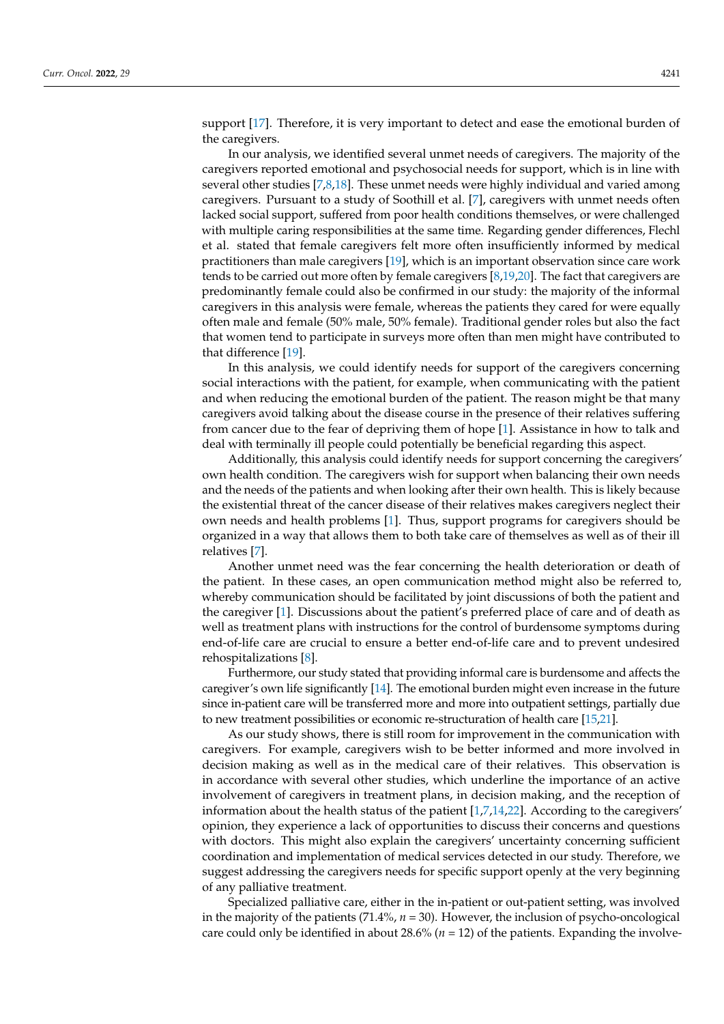support [\[17\]](#page-9-12). Therefore, it is very important to detect and ease the emotional burden of the caregivers.

In our analysis, we identified several unmet needs of caregivers. The majority of the caregivers reported emotional and psychosocial needs for support, which is in line with several other studies [\[7,](#page-9-10)[8](#page-9-2)[,18\]](#page-9-13). These unmet needs were highly individual and varied among caregivers. Pursuant to a study of Soothill et al. [\[7\]](#page-9-10), caregivers with unmet needs often lacked social support, suffered from poor health conditions themselves, or were challenged with multiple caring responsibilities at the same time. Regarding gender differences, Flechl et al. stated that female caregivers felt more often insufficiently informed by medical practitioners than male caregivers [\[19\]](#page-9-14), which is an important observation since care work tends to be carried out more often by female caregivers [\[8,](#page-9-2)[19,](#page-9-14)[20\]](#page-9-15). The fact that caregivers are predominantly female could also be confirmed in our study: the majority of the informal caregivers in this analysis were female, whereas the patients they cared for were equally often male and female (50% male, 50% female). Traditional gender roles but also the fact that women tend to participate in surveys more often than men might have contributed to that difference [\[19\]](#page-9-14).

In this analysis, we could identify needs for support of the caregivers concerning social interactions with the patient, for example, when communicating with the patient and when reducing the emotional burden of the patient. The reason might be that many caregivers avoid talking about the disease course in the presence of their relatives suffering from cancer due to the fear of depriving them of hope [\[1\]](#page-8-0). Assistance in how to talk and deal with terminally ill people could potentially be beneficial regarding this aspect.

Additionally, this analysis could identify needs for support concerning the caregivers' own health condition. The caregivers wish for support when balancing their own needs and the needs of the patients and when looking after their own health. This is likely because the existential threat of the cancer disease of their relatives makes caregivers neglect their own needs and health problems [\[1\]](#page-8-0). Thus, support programs for caregivers should be organized in a way that allows them to both take care of themselves as well as of their ill relatives [\[7\]](#page-9-10).

Another unmet need was the fear concerning the health deterioration or death of the patient. In these cases, an open communication method might also be referred to, whereby communication should be facilitated by joint discussions of both the patient and the caregiver [\[1\]](#page-8-0). Discussions about the patient's preferred place of care and of death as well as treatment plans with instructions for the control of burdensome symptoms during end-of-life care are crucial to ensure a better end-of-life care and to prevent undesired rehospitalizations [\[8\]](#page-9-2).

Furthermore, our study stated that providing informal care is burdensome and affects the caregiver's own life significantly [\[14\]](#page-9-7). The emotional burden might even increase in the future since in-patient care will be transferred more and more into outpatient settings, partially due to new treatment possibilities or economic re-structuration of health care [\[15](#page-9-9)[,21\]](#page-9-16).

As our study shows, there is still room for improvement in the communication with caregivers. For example, caregivers wish to be better informed and more involved in decision making as well as in the medical care of their relatives. This observation is in accordance with several other studies, which underline the importance of an active involvement of caregivers in treatment plans, in decision making, and the reception of information about the health status of the patient [\[1](#page-8-0)[,7](#page-9-10)[,14](#page-9-7)[,22\]](#page-9-17). According to the caregivers' opinion, they experience a lack of opportunities to discuss their concerns and questions with doctors. This might also explain the caregivers' uncertainty concerning sufficient coordination and implementation of medical services detected in our study. Therefore, we suggest addressing the caregivers needs for specific support openly at the very beginning of any palliative treatment.

Specialized palliative care, either in the in-patient or out-patient setting, was involved in the majority of the patients (71.4%, *n* = 30). However, the inclusion of psycho-oncological care could only be identified in about  $28.6\%$  ( $n = 12$ ) of the patients. Expanding the involve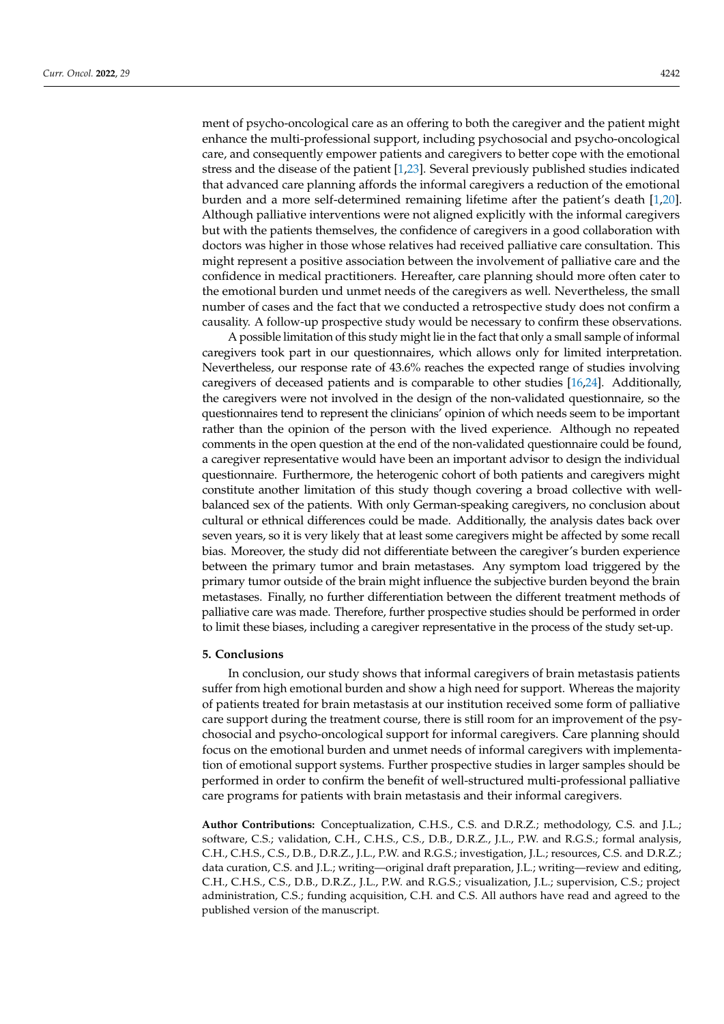ment of psycho-oncological care as an offering to both the caregiver and the patient might enhance the multi-professional support, including psychosocial and psycho-oncological care, and consequently empower patients and caregivers to better cope with the emotional stress and the disease of the patient [\[1](#page-8-0)[,23\]](#page-9-18). Several previously published studies indicated that advanced care planning affords the informal caregivers a reduction of the emotional burden and a more self-determined remaining lifetime after the patient's death [\[1,](#page-8-0)[20\]](#page-9-15). Although palliative interventions were not aligned explicitly with the informal caregivers but with the patients themselves, the confidence of caregivers in a good collaboration with doctors was higher in those whose relatives had received palliative care consultation. This might represent a positive association between the involvement of palliative care and the confidence in medical practitioners. Hereafter, care planning should more often cater to the emotional burden und unmet needs of the caregivers as well. Nevertheless, the small number of cases and the fact that we conducted a retrospective study does not confirm a causality. A follow-up prospective study would be necessary to confirm these observations.

A possible limitation of this study might lie in the fact that only a small sample of informal caregivers took part in our questionnaires, which allows only for limited interpretation. Nevertheless, our response rate of 43.6% reaches the expected range of studies involving caregivers of deceased patients and is comparable to other studies [\[16](#page-9-11)[,24\]](#page-9-19). Additionally, the caregivers were not involved in the design of the non-validated questionnaire, so the questionnaires tend to represent the clinicians' opinion of which needs seem to be important rather than the opinion of the person with the lived experience. Although no repeated comments in the open question at the end of the non-validated questionnaire could be found, a caregiver representative would have been an important advisor to design the individual questionnaire. Furthermore, the heterogenic cohort of both patients and caregivers might constitute another limitation of this study though covering a broad collective with wellbalanced sex of the patients. With only German-speaking caregivers, no conclusion about cultural or ethnical differences could be made. Additionally, the analysis dates back over seven years, so it is very likely that at least some caregivers might be affected by some recall bias. Moreover, the study did not differentiate between the caregiver's burden experience between the primary tumor and brain metastases. Any symptom load triggered by the primary tumor outside of the brain might influence the subjective burden beyond the brain metastases. Finally, no further differentiation between the different treatment methods of palliative care was made. Therefore, further prospective studies should be performed in order to limit these biases, including a caregiver representative in the process of the study set-up.

# **5. Conclusions**

In conclusion, our study shows that informal caregivers of brain metastasis patients suffer from high emotional burden and show a high need for support. Whereas the majority of patients treated for brain metastasis at our institution received some form of palliative care support during the treatment course, there is still room for an improvement of the psychosocial and psycho-oncological support for informal caregivers. Care planning should focus on the emotional burden and unmet needs of informal caregivers with implementation of emotional support systems. Further prospective studies in larger samples should be performed in order to confirm the benefit of well-structured multi-professional palliative care programs for patients with brain metastasis and their informal caregivers.

**Author Contributions:** Conceptualization, C.H.S., C.S. and D.R.Z.; methodology, C.S. and J.L.; software, C.S.; validation, C.H., C.H.S., C.S., D.B., D.R.Z., J.L., P.W. and R.G.S.; formal analysis, C.H., C.H.S., C.S., D.B., D.R.Z., J.L., P.W. and R.G.S.; investigation, J.L.; resources, C.S. and D.R.Z.; data curation, C.S. and J.L.; writing—original draft preparation, J.L.; writing—review and editing, C.H., C.H.S., C.S., D.B., D.R.Z., J.L., P.W. and R.G.S.; visualization, J.L.; supervision, C.S.; project administration, C.S.; funding acquisition, C.H. and C.S. All authors have read and agreed to the published version of the manuscript.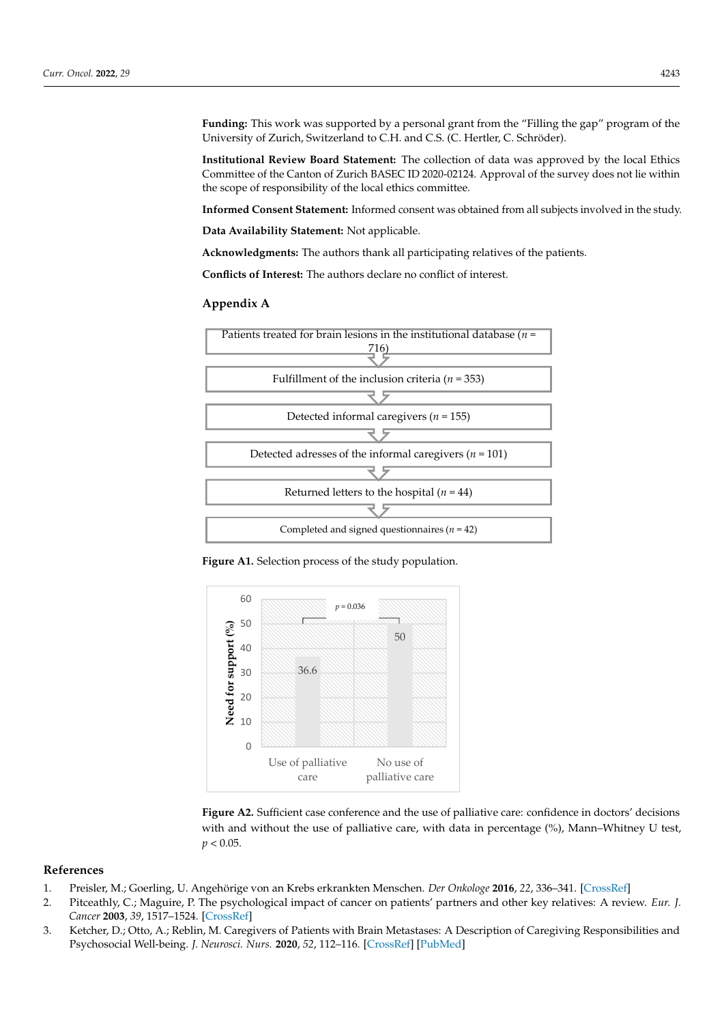Funding: This work was supported by a personal grant from the "Filling the gap" program of the University of Zurich, Switzerland to C.H. and C.S. (C. Hertler, C. Schröder).<br> University of Zurich, Switzerland to C.H. and C.S. (C. Hertler, C. Schröder).

C.H. and C.S. All authors have read and agreed to the published version of the manuscript.

Institutional Review Board Statement: The collection of data was approved by the local Ethics Committee of the Canton of Zurich BASEC ID 2020-02124. Approval of the survey does not lie within the scope of responsibility of the local ethics committee. within the scope of the scale of the local ethics committee.

**Informed Consent Statement:** Informed consent was obtained from all subjects involved in the study. study.

**Data Availability Statement:** Not applicable. **Data Availability Statement:** Not applicable. **Data Availability Statement:** Not applicable.

**Acknowledgments:** The authors thank all participating relatives of the patients.

**Conflicts of Interest:** The authors declare no conflict of interest. **Conflicts of Interest:** The authors declare no conflict of interest. **Conflicts of Interest:** The authors declare no conflict of interest.

# <span id="page-8-2"></span>**Appendix A Appendix A Appendix A**

<span id="page-8-3"></span>

**Figure A1.** Selection process of the study population. **Figure A1.** Selection process of the study population. **Figure A1.** Selection process of the study population.

<span id="page-8-4"></span>

**Figure A2.** Sufficient case conference and the use of palliative care: confidence in doctors' decisions 0.05. with and without the use of palliative care, with data in percentage (%), Mann–Whitney U test,  $p < 0.05$ .

# **References**

- <span id="page-8-0"></span>1. Preisler, M.; Goerling, U. Angehörige von an Krebs erkrankten Menschen. *Der Onkologe* **2016**, *22*, 336–341. [\[CrossRef\]](http://doi.org/10.1007/s00761-016-0006-8)
- <span id="page-8-1"></span>2. Pitceathly, C.; Maguire, P. The psychological impact of cancer on patients' partners and other key relatives: A review. *Eur. J. Cancer* **2003**, *39*, 1517–1524. [\[CrossRef\]](http://doi.org/10.1016/S0959-8049(03)00309-5)
- 3. Ketcher, D.; Otto, A.; Reblin, M. Caregivers of Patients with Brain Metastases: A Description of Caregiving Responsibilities and Psychosocial Well-being. *J. Neurosci. Nurs.* **2020**, *52*, 112–116. [\[CrossRef\]](http://doi.org/10.1097/JNN.0000000000000500) [\[PubMed\]](http://www.ncbi.nlm.nih.gov/pubmed/32175992)